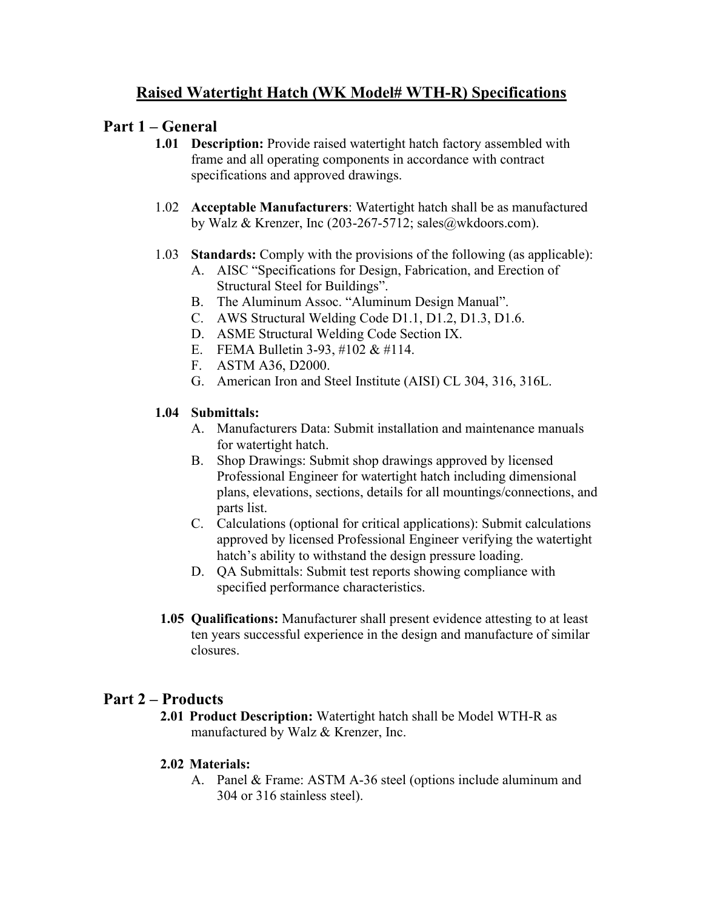# **Raised Watertight Hatch (WK Model# WTH-R) Specifications**

### **Part 1 – General**

- **1.01 Description:** Provide raised watertight hatch factory assembled with frame and all operating components in accordance with contract specifications and approved drawings.
- 1.02 **Acceptable Manufacturers**: Watertight hatch shall be as manufactured by Walz & Krenzer, Inc (203-267-5712; sales@wkdoors.com).
- 1.03 **Standards:** Comply with the provisions of the following (as applicable):
	- A. AISC "Specifications for Design, Fabrication, and Erection of Structural Steel for Buildings".
	- B. The Aluminum Assoc. "Aluminum Design Manual".
	- C. AWS Structural Welding Code D1.1, D1.2, D1.3, D1.6.
	- D. ASME Structural Welding Code Section IX.
	- E. FEMA Bulletin 3-93, #102 & #114.
	- F. ASTM A36, D2000.
	- G. American Iron and Steel Institute (AISI) CL 304, 316, 316L.

### **1.04 Submittals:**

- A. Manufacturers Data: Submit installation and maintenance manuals for watertight hatch.
- B. Shop Drawings: Submit shop drawings approved by licensed Professional Engineer for watertight hatch including dimensional plans, elevations, sections, details for all mountings/connections, and parts list.
- C. Calculations (optional for critical applications): Submit calculations approved by licensed Professional Engineer verifying the watertight hatch's ability to withstand the design pressure loading.
- D. QA Submittals: Submit test reports showing compliance with specified performance characteristics.
- **1.05 Qualifications:** Manufacturer shall present evidence attesting to at least ten years successful experience in the design and manufacture of similar closures.

## **Part 2 – Products**

**2.01 Product Description:** Watertight hatch shall be Model WTH-R as manufactured by Walz & Krenzer, Inc.

#### **2.02 Materials:**

A. Panel & Frame: ASTM A-36 steel (options include aluminum and 304 or 316 stainless steel).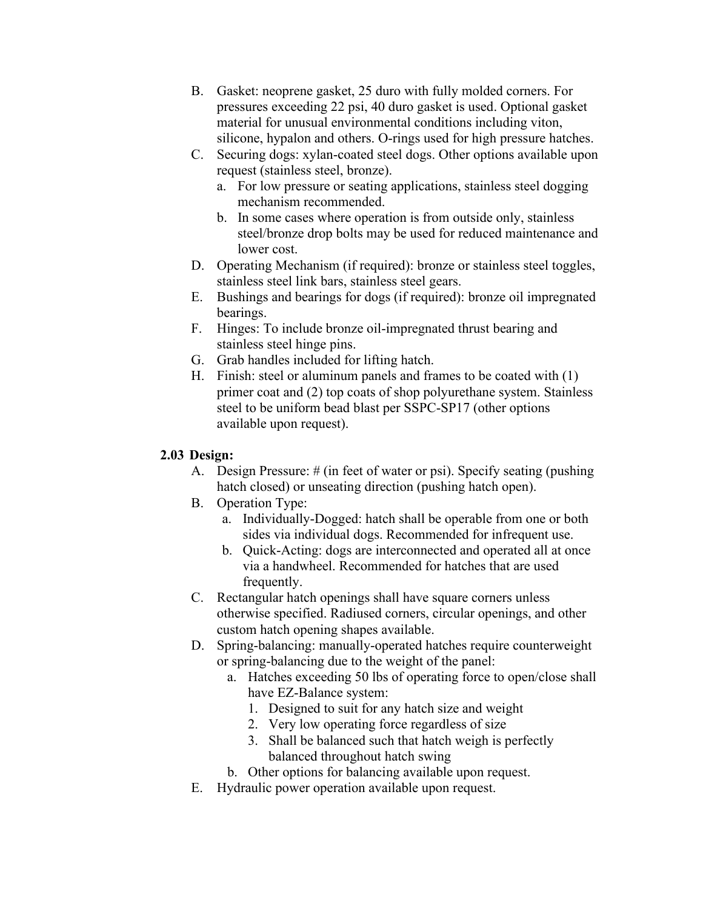- B. Gasket: neoprene gasket, 25 duro with fully molded corners. For pressures exceeding 22 psi, 40 duro gasket is used. Optional gasket material for unusual environmental conditions including viton, silicone, hypalon and others. O-rings used for high pressure hatches.
- C. Securing dogs: xylan-coated steel dogs. Other options available upon request (stainless steel, bronze).
	- a. For low pressure or seating applications, stainless steel dogging mechanism recommended.
	- b. In some cases where operation is from outside only, stainless steel/bronze drop bolts may be used for reduced maintenance and lower cost.
- D. Operating Mechanism (if required): bronze or stainless steel toggles, stainless steel link bars, stainless steel gears.
- E. Bushings and bearings for dogs (if required): bronze oil impregnated bearings.
- F. Hinges: To include bronze oil-impregnated thrust bearing and stainless steel hinge pins.
- G. Grab handles included for lifting hatch.
- H. Finish: steel or aluminum panels and frames to be coated with (1) primer coat and (2) top coats of shop polyurethane system. Stainless steel to be uniform bead blast per SSPC-SP17 (other options available upon request).

#### **2.03 Design:**

- A. Design Pressure: # (in feet of water or psi). Specify seating (pushing hatch closed) or unseating direction (pushing hatch open).
- B. Operation Type:
	- a. Individually-Dogged: hatch shall be operable from one or both sides via individual dogs. Recommended for infrequent use.
	- b. Quick-Acting: dogs are interconnected and operated all at once via a handwheel. Recommended for hatches that are used frequently.
- C. Rectangular hatch openings shall have square corners unless otherwise specified. Radiused corners, circular openings, and other custom hatch opening shapes available.
- D. Spring-balancing: manually-operated hatches require counterweight or spring-balancing due to the weight of the panel:
	- a. Hatches exceeding 50 lbs of operating force to open/close shall have EZ-Balance system:
		- 1. Designed to suit for any hatch size and weight
		- 2. Very low operating force regardless of size
		- 3. Shall be balanced such that hatch weigh is perfectly balanced throughout hatch swing
	- b. Other options for balancing available upon request.
- E. Hydraulic power operation available upon request.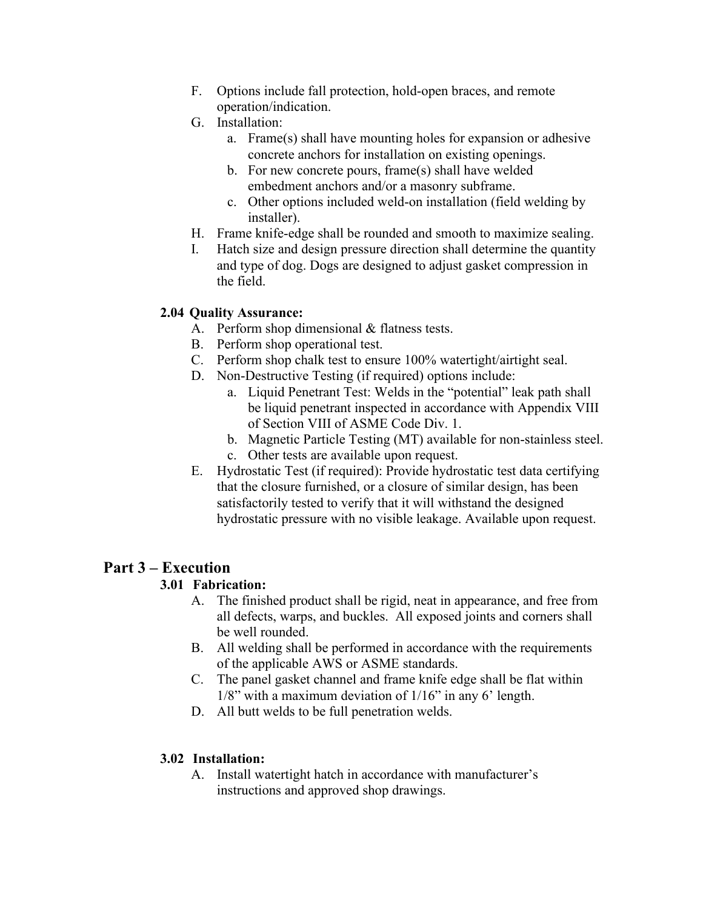- F. Options include fall protection, hold-open braces, and remote operation/indication.
- G. Installation:
	- a. Frame(s) shall have mounting holes for expansion or adhesive concrete anchors for installation on existing openings.
	- b. For new concrete pours, frame(s) shall have welded embedment anchors and/or a masonry subframe.
	- c. Other options included weld-on installation (field welding by installer).
- H. Frame knife-edge shall be rounded and smooth to maximize sealing.
- I. Hatch size and design pressure direction shall determine the quantity and type of dog. Dogs are designed to adjust gasket compression in the field.

#### **2.04 Quality Assurance:**

- A. Perform shop dimensional & flatness tests.
- B. Perform shop operational test.
- C. Perform shop chalk test to ensure 100% watertight/airtight seal.
- D. Non-Destructive Testing (if required) options include:
	- a. Liquid Penetrant Test: Welds in the "potential" leak path shall be liquid penetrant inspected in accordance with Appendix VIII of Section VIII of ASME Code Div. 1.
	- b. Magnetic Particle Testing (MT) available for non-stainless steel.
	- c. Other tests are available upon request.
- E. Hydrostatic Test (if required): Provide hydrostatic test data certifying that the closure furnished, or a closure of similar design, has been satisfactorily tested to verify that it will withstand the designed hydrostatic pressure with no visible leakage. Available upon request.

## **Part 3 – Execution**

#### **3.01 Fabrication:**

- A. The finished product shall be rigid, neat in appearance, and free from all defects, warps, and buckles. All exposed joints and corners shall be well rounded.
- B. All welding shall be performed in accordance with the requirements of the applicable AWS or ASME standards.
- C. The panel gasket channel and frame knife edge shall be flat within  $1/8$ " with a maximum deviation of  $1/16$ " in any 6' length.
- D. All butt welds to be full penetration welds.

#### **3.02 Installation:**

A. Install watertight hatch in accordance with manufacturer's instructions and approved shop drawings.